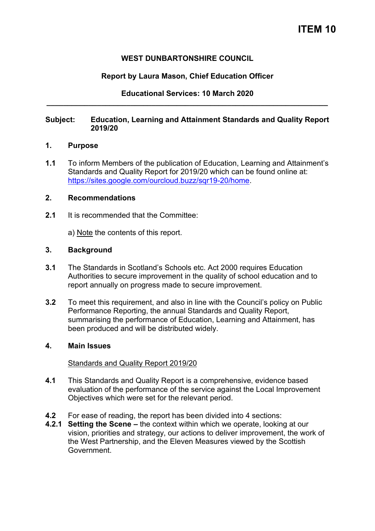# **WEST DUNBARTONSHIRE COUNCIL**

# **Report by Laura Mason, Chief Education Officer**

**Educational Services: 10 March 2020 \_\_\_\_\_\_\_\_\_\_\_\_\_\_\_\_\_\_\_\_\_\_\_\_\_\_\_\_\_\_\_\_\_\_\_\_\_\_\_\_\_\_\_\_\_\_\_\_\_\_\_\_\_\_\_\_\_\_\_\_\_\_\_\_\_\_\_** 

# **Subject: Education, Learning and Attainment Standards and Quality Report 2019/20**

#### **1. Purpose**

**1.1** To inform Members of the publication of Education, Learning and Attainment's Standards and Quality Report for 2019/20 which can be found online at: [https://sites.google.com/ourcloud.buzz/sqr19-20/home.](https://sites.google.com/ourcloud.buzz/sqr19-20/home)

## **2. Recommendations**

**2.1** It is recommended that the Committee:

a) Note the contents of this report.

#### **3. Background**

- **3.1** The Standards in Scotland's Schools etc. Act 2000 requires Education Authorities to secure improvement in the quality of school education and to report annually on progress made to secure improvement.
- **3.2** To meet this requirement, and also in line with the Council's policy on Public Performance Reporting, the annual Standards and Quality Report, summarising the performance of Education, Learning and Attainment, has been produced and will be distributed widely.

## **4. Main Issues**

## Standards and Quality Report 2019/20

- **4.1** This Standards and Quality Report is a comprehensive, evidence based evaluation of the performance of the service against the Local Improvement Objectives which were set for the relevant period.
- **4.2** For ease of reading, the report has been divided into 4 sections:
- **4.2.1 Setting the Scene –** the context within which we operate, looking at our vision, priorities and strategy, our actions to deliver improvement, the work of the West Partnership, and the Eleven Measures viewed by the Scottish Government.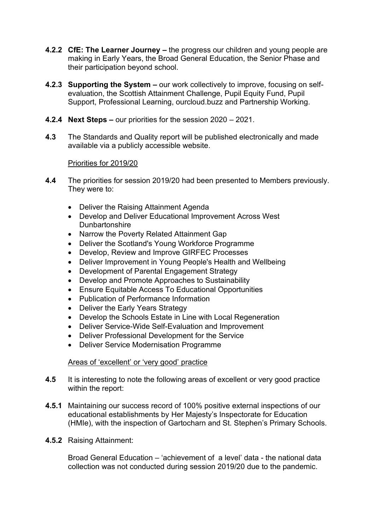- **4.2.2 CfE: The Learner Journey –** the progress our children and young people are making in Early Years, the Broad General Education, the Senior Phase and their participation beyond school.
- **4.2.3 Supporting the System –** our work collectively to improve, focusing on selfevaluation, the Scottish Attainment Challenge, Pupil Equity Fund, Pupil Support, Professional Learning, ourcloud.buzz and Partnership Working.
- **4.2.4 Next Steps –** our priorities for the session 2020 2021.
- **4.3** The Standards and Quality report will be published electronically and made available via a publicly accessible website.

# Priorities for 2019/20

- **4.4** The priorities for session 2019/20 had been presented to Members previously. They were to:
	- Deliver the Raising Attainment Agenda
	- Develop and Deliver Educational Improvement Across West **Dunbartonshire**
	- Narrow the Poverty Related Attainment Gap
	- Deliver the Scotland's Young Workforce Programme
	- Develop, Review and Improve GIRFEC Processes
	- Deliver Improvement in Young People's Health and Wellbeing
	- Development of Parental Engagement Strategy
	- Develop and Promote Approaches to Sustainability
	- Ensure Equitable Access To Educational Opportunities
	- Publication of Performance Information
	- Deliver the Early Years Strategy
	- Develop the Schools Estate in Line with Local Regeneration
	- Deliver Service-Wide Self-Evaluation and Improvement
	- Deliver Professional Development for the Service
	- Deliver Service Modernisation Programme

## Areas of 'excellent' or 'very good' practice

- **4.5** It is interesting to note the following areas of excellent or very good practice within the report:
- **4.5.1** Maintaining our success record of 100% positive external inspections of our educational establishments by Her Majesty's Inspectorate for Education (HMIe), with the inspection of Gartocharn and St. Stephen's Primary Schools.
- **4.5.2** Raising Attainment:

Broad General Education – 'achievement of a level' data - the national data collection was not conducted during session 2019/20 due to the pandemic.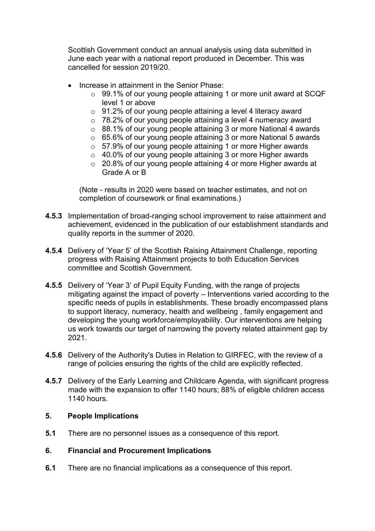Scottish Government conduct an annual analysis using data submitted in June each year with a national report produced in December. This was cancelled for session 2019/20.

- Increase in attainment in the Senior Phase:
	- o 99.1% of our young people attaining 1 or more unit award at SCQF level 1 or above
	- o 91.2% of our young people attaining a level 4 literacy award
	- o 78.2% of our young people attaining a level 4 numeracy award
	- o 88.1% of our young people attaining 3 or more National 4 awards
	- o 65.6% of our young people attaining 3 or more National 5 awards
	- o 57.9% of our young people attaining 1 or more Higher awards
	- o 40.0% of our young people attaining 3 or more Higher awards
	- o 20.8% of our young people attaining 4 or more Higher awards at Grade A or B

(Note - results in 2020 were based on teacher estimates, and not on completion of coursework or final examinations.)

- **4.5.3** Implementation of broad-ranging school improvement to raise attainment and achievement, evidenced in the publication of our establishment standards and quality reports in the summer of 2020.
- **4.5.4** Delivery of 'Year 5' of the Scottish Raising Attainment Challenge, reporting progress with Raising Attainment projects to both Education Services committee and Scottish Government.
- **4.5.5** Delivery of 'Year 3' of Pupil Equity Funding, with the range of projects mitigating against the impact of poverty – Interventions varied according to the specific needs of pupils in establishments. These broadly encompassed plans to support literacy, numeracy, health and wellbeing , family engagement and developing the young workforce/employability. Our interventions are helping us work towards our target of narrowing the poverty related attainment gap by 2021.
- **4.5.6** Delivery of the Authority's Duties in Relation to GIRFEC, with the review of a range of policies ensuring the rights of the child are explicitly reflected.
- **4.5.7** Delivery of the Early Learning and Childcare Agenda, with significant progress made with the expansion to offer 1140 hours; 88% of eligible children access 1140 hours.

## **5. People Implications**

**5.1** There are no personnel issues as a consequence of this report.

## **6. Financial and Procurement Implications**

**6.1** There are no financial implications as a consequence of this report.